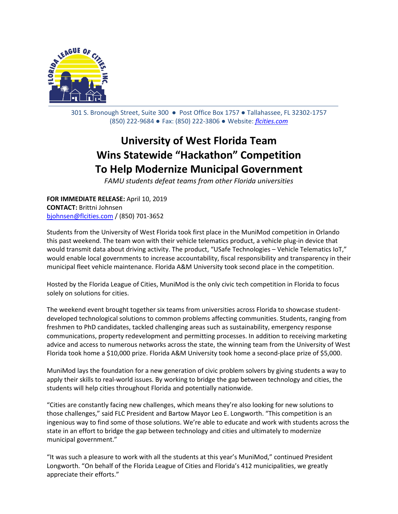

301 S. Bronough Street, Suite 300 ● Post Office Box 1757 ● Tallahassee, FL 32302-1757 (850) 222-9684 ● Fax: (850) 222-3806 ● Website: *[flcities.com](http://www.flcities.com/)*

## **University of West Florida Team Wins Statewide "Hackathon" Competition To Help Modernize Municipal Government**

*FAMU students defeat teams from other Florida universities*

**FOR IMMEDIATE RELEASE:** April 10, 2019 **CONTACT:** Brittni Johnsen [bjohnsen@flcities.com](mailto:bjohnsen@flcities.com) / (850) 701-3652

Students from the University of West Florida took first place in the MuniMod competition in Orlando this past weekend. The team won with their vehicle telematics product, a vehicle plug-in device that would transmit data about driving activity. The product, "USafe Technologies – Vehicle Telematics IoT," would enable local governments to increase accountability, fiscal responsibility and transparency in their municipal fleet vehicle maintenance. Florida A&M University took second place in the competition.

Hosted by the Florida League of Cities, MuniMod is the only civic tech competition in Florida to focus solely on solutions for cities.

The weekend event brought together six teams from universities across Florida to showcase studentdeveloped technological solutions to common problems affecting communities. Students, ranging from freshmen to PhD candidates, tackled challenging areas such as sustainability, emergency response communications, property redevelopment and permitting processes. In addition to receiving marketing advice and access to numerous networks across the state, the winning team from the University of West Florida took home a \$10,000 prize. Florida A&M University took home a second-place prize of \$5,000.

MuniMod lays the foundation for a new generation of civic problem solvers by giving students a way to apply their skills to real-world issues. By working to bridge the gap between technology and cities, the students will help cities throughout Florida and potentially nationwide.

"Cities are constantly facing new challenges, which means they're also looking for new solutions to those challenges," said FLC President and Bartow Mayor Leo E. Longworth. "This competition is an ingenious way to find some of those solutions. We're able to educate and work with students across the state in an effort to bridge the gap between technology and cities and ultimately to modernize municipal government."

"It was such a pleasure to work with all the students at this year's MuniMod," continued President Longworth. "On behalf of the Florida League of Cities and Florida's 412 municipalities, we greatly appreciate their efforts."